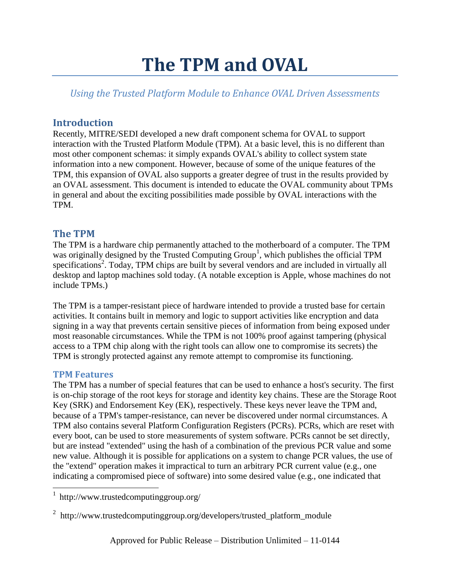# **The TPM and OVAL**

*Using the Trusted Platform Module to Enhance OVAL Driven Assessments*

## **Introduction**

Recently, MITRE/SEDI developed a new draft component schema for OVAL to support interaction with the Trusted Platform Module (TPM). At a basic level, this is no different than most other component schemas: it simply expands OVAL's ability to collect system state information into a new component. However, because of some of the unique features of the TPM, this expansion of OVAL also supports a greater degree of trust in the results provided by an OVAL assessment. This document is intended to educate the OVAL community about TPMs in general and about the exciting possibilities made possible by OVAL interactions with the TPM.

## **The TPM**

The TPM is a hardware chip permanently attached to the motherboard of a computer. The TPM was originally designed by the Trusted Computing Group<sup>1</sup>, which publishes the official TPM specifications<sup>2</sup>. Today, TPM chips are built by several vendors and are included in virtually all desktop and laptop machines sold today. (A notable exception is Apple, whose machines do not include TPMs.)

The TPM is a tamper-resistant piece of hardware intended to provide a trusted base for certain activities. It contains built in memory and logic to support activities like encryption and data signing in a way that prevents certain sensitive pieces of information from being exposed under most reasonable circumstances. While the TPM is not 100% proof against tampering (physical access to a TPM chip along with the right tools can allow one to compromise its secrets) the TPM is strongly protected against any remote attempt to compromise its functioning.

### **TPM Features**

l

The TPM has a number of special features that can be used to enhance a host's security. The first is on-chip storage of the root keys for storage and identity key chains. These are the Storage Root Key (SRK) and Endorsement Key (EK), respectively. These keys never leave the TPM and, because of a TPM's tamper-resistance, can never be discovered under normal circumstances. A TPM also contains several Platform Configuration Registers (PCRs). PCRs, which are reset with every boot, can be used to store measurements of system software. PCRs cannot be set directly, but are instead "extended" using the hash of a combination of the previous PCR value and some new value. Although it is possible for applications on a system to change PCR values, the use of the "extend" operation makes it impractical to turn an arbitrary PCR current value (e.g., one indicating a compromised piece of software) into some desired value (e.g., one indicated that

<sup>&</sup>lt;sup>1</sup> http://www.trustedcomputinggroup.org/

<sup>&</sup>lt;sup>2</sup> http://www.trustedcomputinggroup.org/developers/trusted\_platform\_module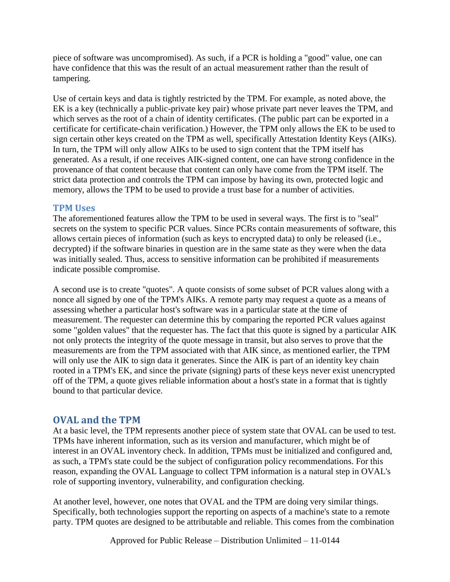piece of software was uncompromised). As such, if a PCR is holding a "good" value, one can have confidence that this was the result of an actual measurement rather than the result of tampering.

Use of certain keys and data is tightly restricted by the TPM. For example, as noted above, the EK is a key (technically a public-private key pair) whose private part never leaves the TPM, and which serves as the root of a chain of identity certificates. (The public part can be exported in a certificate for certificate-chain verification.) However, the TPM only allows the EK to be used to sign certain other keys created on the TPM as well, specifically Attestation Identity Keys (AIKs). In turn, the TPM will only allow AIKs to be used to sign content that the TPM itself has generated. As a result, if one receives AIK-signed content, one can have strong confidence in the provenance of that content because that content can only have come from the TPM itself. The strict data protection and controls the TPM can impose by having its own, protected logic and memory, allows the TPM to be used to provide a trust base for a number of activities.

#### **TPM Uses**

The aforementioned features allow the TPM to be used in several ways. The first is to "seal" secrets on the system to specific PCR values. Since PCRs contain measurements of software, this allows certain pieces of information (such as keys to encrypted data) to only be released (i.e., decrypted) if the software binaries in question are in the same state as they were when the data was initially sealed. Thus, access to sensitive information can be prohibited if measurements indicate possible compromise.

A second use is to create "quotes". A quote consists of some subset of PCR values along with a nonce all signed by one of the TPM's AIKs. A remote party may request a quote as a means of assessing whether a particular host's software was in a particular state at the time of measurement. The requester can determine this by comparing the reported PCR values against some "golden values" that the requester has. The fact that this quote is signed by a particular AIK not only protects the integrity of the quote message in transit, but also serves to prove that the measurements are from the TPM associated with that AIK since, as mentioned earlier, the TPM will only use the AIK to sign data it generates. Since the AIK is part of an identity key chain rooted in a TPM's EK, and since the private (signing) parts of these keys never exist unencrypted off of the TPM, a quote gives reliable information about a host's state in a format that is tightly bound to that particular device.

## **OVAL and the TPM**

At a basic level, the TPM represents another piece of system state that OVAL can be used to test. TPMs have inherent information, such as its version and manufacturer, which might be of interest in an OVAL inventory check. In addition, TPMs must be initialized and configured and, as such, a TPM's state could be the subject of configuration policy recommendations. For this reason, expanding the OVAL Language to collect TPM information is a natural step in OVAL's role of supporting inventory, vulnerability, and configuration checking.

At another level, however, one notes that OVAL and the TPM are doing very similar things. Specifically, both technologies support the reporting on aspects of a machine's state to a remote party. TPM quotes are designed to be attributable and reliable. This comes from the combination

Approved for Public Release – Distribution Unlimited – 11-0144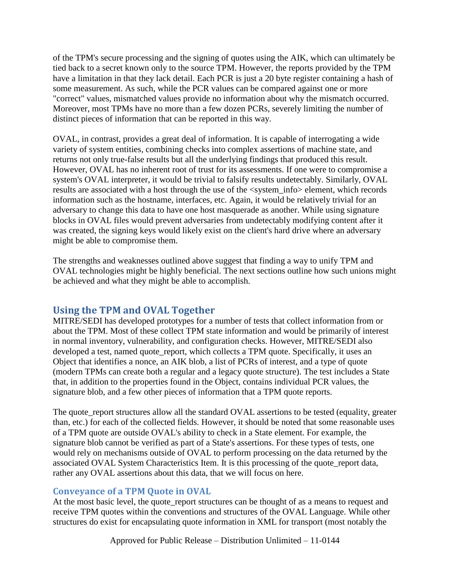of the TPM's secure processing and the signing of quotes using the AIK, which can ultimately be tied back to a secret known only to the source TPM. However, the reports provided by the TPM have a limitation in that they lack detail. Each PCR is just a 20 byte register containing a hash of some measurement. As such, while the PCR values can be compared against one or more "correct" values, mismatched values provide no information about why the mismatch occurred. Moreover, most TPMs have no more than a few dozen PCRs, severely limiting the number of distinct pieces of information that can be reported in this way.

OVAL, in contrast, provides a great deal of information. It is capable of interrogating a wide variety of system entities, combining checks into complex assertions of machine state, and returns not only true-false results but all the underlying findings that produced this result. However, OVAL has no inherent root of trust for its assessments. If one were to compromise a system's OVAL interpreter, it would be trivial to falsify results undetectably. Similarly, OVAL results are associated with a host through the use of the <system\_info> element, which records information such as the hostname, interfaces, etc. Again, it would be relatively trivial for an adversary to change this data to have one host masquerade as another. While using signature blocks in OVAL files would prevent adversaries from undetectably modifying content after it was created, the signing keys would likely exist on the client's hard drive where an adversary might be able to compromise them.

The strengths and weaknesses outlined above suggest that finding a way to unify TPM and OVAL technologies might be highly beneficial. The next sections outline how such unions might be achieved and what they might be able to accomplish.

## **Using the TPM and OVAL Together**

MITRE/SEDI has developed prototypes for a number of tests that collect information from or about the TPM. Most of these collect TPM state information and would be primarily of interest in normal inventory, vulnerability, and configuration checks. However, MITRE/SEDI also developed a test, named quote\_report, which collects a TPM quote. Specifically, it uses an Object that identifies a nonce, an AIK blob, a list of PCRs of interest, and a type of quote (modern TPMs can create both a regular and a legacy quote structure). The test includes a State that, in addition to the properties found in the Object, contains individual PCR values, the signature blob, and a few other pieces of information that a TPM quote reports.

The quote\_report structures allow all the standard OVAL assertions to be tested (equality, greater than, etc.) for each of the collected fields. However, it should be noted that some reasonable uses of a TPM quote are outside OVAL's ability to check in a State element. For example, the signature blob cannot be verified as part of a State's assertions. For these types of tests, one would rely on mechanisms outside of OVAL to perform processing on the data returned by the associated OVAL System Characteristics Item. It is this processing of the quote\_report data, rather any OVAL assertions about this data, that we will focus on here.

### **Conveyance of a TPM Quote in OVAL**

At the most basic level, the quote\_report structures can be thought of as a means to request and receive TPM quotes within the conventions and structures of the OVAL Language. While other structures do exist for encapsulating quote information in XML for transport (most notably the

Approved for Public Release – Distribution Unlimited – 11-0144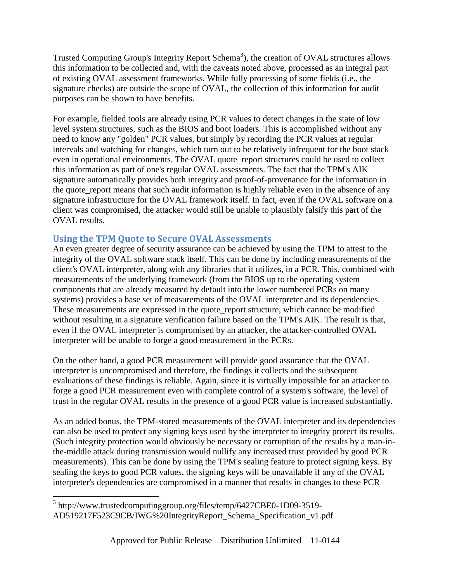Trusted Computing Group's Integrity Report Schema<sup>3</sup>), the creation of OVAL structures allows this information to be collected and, with the caveats noted above, processed as an integral part of existing OVAL assessment frameworks. While fully processing of some fields (i.e., the signature checks) are outside the scope of OVAL, the collection of this information for audit purposes can be shown to have benefits.

For example, fielded tools are already using PCR values to detect changes in the state of low level system structures, such as the BIOS and boot loaders. This is accomplished without any need to know any "golden" PCR values, but simply by recording the PCR values at regular intervals and watching for changes, which turn out to be relatively infrequent for the boot stack even in operational environments. The OVAL quote\_report structures could be used to collect this information as part of one's regular OVAL assessments. The fact that the TPM's AIK signature automatically provides both integrity and proof-of-provenance for the information in the quote\_report means that such audit information is highly reliable even in the absence of any signature infrastructure for the OVAL framework itself. In fact, even if the OVAL software on a client was compromised, the attacker would still be unable to plausibly falsify this part of the OVAL results.

### **Using the TPM Quote to Secure OVAL Assessments**

An even greater degree of security assurance can be achieved by using the TPM to attest to the integrity of the OVAL software stack itself. This can be done by including measurements of the client's OVAL interpreter, along with any libraries that it utilizes, in a PCR. This, combined with measurements of the underlying framework (from the BIOS up to the operating system – components that are already measured by default into the lower numbered PCRs on many systems) provides a base set of measurements of the OVAL interpreter and its dependencies. These measurements are expressed in the quote\_report structure, which cannot be modified without resulting in a signature verification failure based on the TPM's AIK. The result is that, even if the OVAL interpreter is compromised by an attacker, the attacker-controlled OVAL interpreter will be unable to forge a good measurement in the PCRs.

On the other hand, a good PCR measurement will provide good assurance that the OVAL interpreter is uncompromised and therefore, the findings it collects and the subsequent evaluations of these findings is reliable. Again, since it is virtually impossible for an attacker to forge a good PCR measurement even with complete control of a system's software, the level of trust in the regular OVAL results in the presence of a good PCR value is increased substantially.

As an added bonus, the TPM-stored measurements of the OVAL interpreter and its dependencies can also be used to protect any signing keys used by the interpreter to integrity protect its results. (Such integrity protection would obviously be necessary or corruption of the results by a man-inthe-middle attack during transmission would nullify any increased trust provided by good PCR measurements). This can be done by using the TPM's sealing feature to protect signing keys. By sealing the keys to good PCR values, the signing keys will be unavailable if any of the OVAL interpreter's dependencies are compromised in a manner that results in changes to these PCR

 $\overline{\phantom{a}}$ <sup>3</sup> http://www.trustedcomputinggroup.org/files/temp/6427CBE0-1D09-3519-AD519217F523C9CB/IWG%20IntegrityReport\_Schema\_Specification\_v1.pdf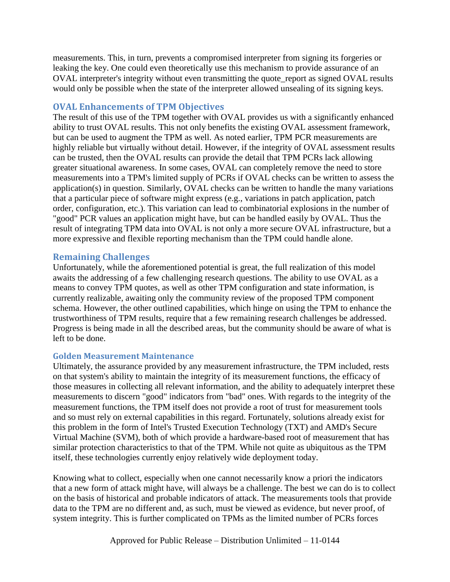measurements. This, in turn, prevents a compromised interpreter from signing its forgeries or leaking the key. One could even theoretically use this mechanism to provide assurance of an OVAL interpreter's integrity without even transmitting the quote report as signed OVAL results would only be possible when the state of the interpreter allowed unsealing of its signing keys.

#### **OVAL Enhancements of TPM Objectives**

The result of this use of the TPM together with OVAL provides us with a significantly enhanced ability to trust OVAL results. This not only benefits the existing OVAL assessment framework, but can be used to augment the TPM as well. As noted earlier, TPM PCR measurements are highly reliable but virtually without detail. However, if the integrity of OVAL assessment results can be trusted, then the OVAL results can provide the detail that TPM PCRs lack allowing greater situational awareness. In some cases, OVAL can completely remove the need to store measurements into a TPM's limited supply of PCRs if OVAL checks can be written to assess the application(s) in question. Similarly, OVAL checks can be written to handle the many variations that a particular piece of software might express (e.g., variations in patch application, patch order, configuration, etc.). This variation can lead to combinatorial explosions in the number of "good" PCR values an application might have, but can be handled easily by OVAL. Thus the result of integrating TPM data into OVAL is not only a more secure OVAL infrastructure, but a more expressive and flexible reporting mechanism than the TPM could handle alone.

#### **Remaining Challenges**

Unfortunately, while the aforementioned potential is great, the full realization of this model awaits the addressing of a few challenging research questions. The ability to use OVAL as a means to convey TPM quotes, as well as other TPM configuration and state information, is currently realizable, awaiting only the community review of the proposed TPM component schema. However, the other outlined capabilities, which hinge on using the TPM to enhance the trustworthiness of TPM results, require that a few remaining research challenges be addressed. Progress is being made in all the described areas, but the community should be aware of what is left to be done.

#### **Golden Measurement Maintenance**

Ultimately, the assurance provided by any measurement infrastructure, the TPM included, rests on that system's ability to maintain the integrity of its measurement functions, the efficacy of those measures in collecting all relevant information, and the ability to adequately interpret these measurements to discern "good" indicators from "bad" ones. With regards to the integrity of the measurement functions, the TPM itself does not provide a root of trust for measurement tools and so must rely on external capabilities in this regard. Fortunately, solutions already exist for this problem in the form of Intel's Trusted Execution Technology (TXT) and AMD's Secure Virtual Machine (SVM), both of which provide a hardware-based root of measurement that has similar protection characteristics to that of the TPM. While not quite as ubiquitous as the TPM itself, these technologies currently enjoy relatively wide deployment today.

Knowing what to collect, especially when one cannot necessarily know a priori the indicators that a new form of attack might have, will always be a challenge. The best we can do is to collect on the basis of historical and probable indicators of attack. The measurements tools that provide data to the TPM are no different and, as such, must be viewed as evidence, but never proof, of system integrity. This is further complicated on TPMs as the limited number of PCRs forces